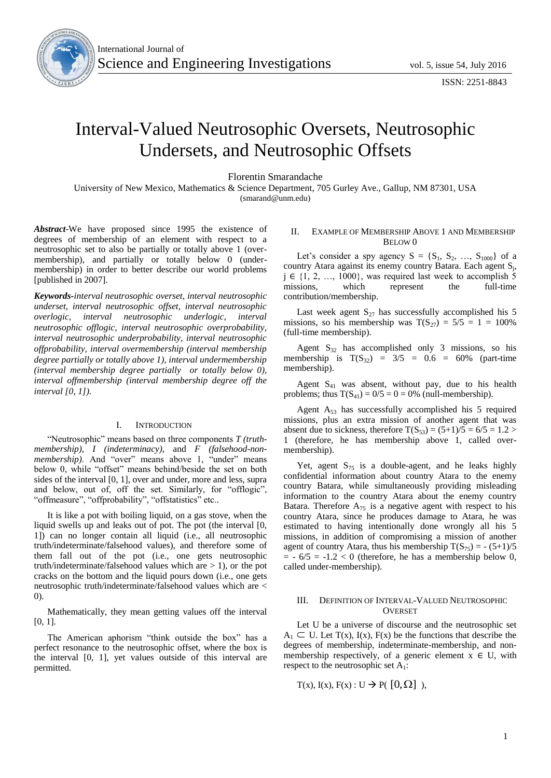

# Interval-Valued Neutrosophic Oversets, Neutrosophic Undersets, and Neutrosophic Offsets

Florentin Smarandache

University of New Mexico, Mathematics & Science Department, 705 Gurley Ave., Gallup, NM 87301, USA (smarand@unm.edu)

*Abstract*-We have proposed since 1995 the existence of degrees of membership of an element with respect to a neutrosophic set to also be partially or totally above 1 (overmembership), and partially or totally below 0 (undermembership) in order to better describe our world problems [published in 2007].

*Keywords-interval neutrosophic overset, interval neutrosophic underset, interval neutrosophic offset, interval neutrosophic overlogic, interval neutrosophic underlogic, interval neutrosophic offlogic, interval neutrosophic overprobability, interval neutrosophic underprobability, interval neutrosophic offprobability, interval overmembership (interval membership degree partially or totally above 1), interval undermembership (interval membership degree partially or totally below 0), interval offmembership (interval membership degree off the interval [0, 1]).*

#### I. INTRODUCTION

"Neutrosophic" means based on three components *T (truthmembership)*, *I (indeterminacy)*, and *F (falsehood-nonmembership)*. And "over" means above 1, "under" means below 0, while "offset" means behind/beside the set on both sides of the interval [0, 1], over and under, more and less, supra and below, out of, off the set. Similarly, for "offlogic", "offmeasure", "offprobability", "offstatistics" etc..

It is like a pot with boiling liquid, on a gas stove, when the liquid swells up and leaks out of pot. The pot (the interval [0, 1]) can no longer contain all liquid (i.e., all neutrosophic truth/indeterminate/falsehood values), and therefore some of them fall out of the pot (i.e., one gets neutrosophic truth/indeterminate/falsehood values which are  $> 1$ ), or the pot cracks on the bottom and the liquid pours down (i.e., one gets neutrosophic truth/indeterminate/falsehood values which are < 0).

Mathematically, they mean getting values off the interval [0, 1].

The American aphorism "think outside the box" has a perfect resonance to the neutrosophic offset, where the box is the interval [0, 1], yet values outside of this interval are permitted.

## II. EXAMPLE OF MEMBERSHIP ABOVE 1 AND MEMBERSHIP  $B$ FLOW 0

Let's consider a spy agency  $S = \{S_1, S_2, ..., S_{1000}\}\$ of a country Atara against its enemy country Batara. Each agent  $S_j$ ,  $j \in \{1, 2, ..., 1000\}$ , was required last week to accomplish 5 missions, which represent the full-time contribution/membership.

Last week agent  $S_{27}$  has successfully accomplished his 5 missions, so his membership was  $T(S_{27}) = 5/5 = 1 = 100\%$ (full-time membership).

Agent  $S_{32}$  has accomplished only 3 missions, so his membership is  $T(S_{32}) = 3/5 = 0.6 = 60\%$  (part-time membership).

Agent  $S_{41}$  was absent, without pay, due to his health problems; thus  $T(S_{41}) = 0/5 = 0 = 0%$  (null-membership).

Agent  $A_{53}$  has successfully accomplished his 5 required missions, plus an extra mission of another agent that was absent due to sickness, therefore  $T(S_{53}) = (5+1)/5 = 6/5 = 1.2 >$ 1 (therefore, he has membership above 1, called overmembership).

Yet, agent  $S_{75}$  is a double-agent, and he leaks highly confidential information about country Atara to the enemy country Batara, while simultaneously providing misleading information to the country Atara about the enemy country Batara. Therefore  $A_{75}$  is a negative agent with respect to his country Atara, since he produces damage to Atara, he was estimated to having intentionally done wrongly all his 5 missions, in addition of compromising a mission of another agent of country Atara, thus his membership  $T(S_{75}) = - (5+1)/5$  $= -6/5 = -1.2 < 0$  (therefore, he has a membership below 0, called under-membership).

### III. DEFINITION OF INTERVAL-VALUED NEUTROSOPHIC **OVERSET**

Let U be a universe of discourse and the neutrosophic set  $A_1 \subset U$ . Let T(x), I(x), F(x) be the functions that describe the degrees of membership, indeterminate-membership, and nonmembership respectively, of a generic element  $x \in U$ , with respect to the neutrosophic set  $A_1$ :

$$
T(x), I(x), F(x) : U \rightarrow P([0, \Omega])
$$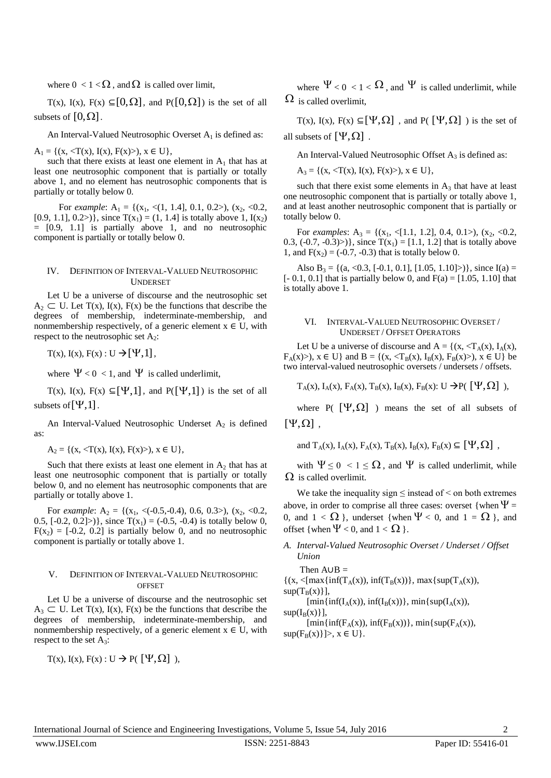where  $0 < 1 < \Omega$ , and  $\Omega$  is called over limit,

T(x), I(x), F(x)  $\subseteq [0, \Omega]$ , and P( $[0, \Omega]$ ) is the set of all subsets of  $[0,\Omega]$ .

An Interval-Valued Neutrosophic Overset  $A_1$  is defined as:

 $A_1 = \{(x, \langle T(x), I(x), F(x) \rangle), x \in U\},\$ 

such that there exists at least one element in  $A_1$  that has at least one neutrosophic component that is partially or totally above 1, and no element has neutrosophic components that is partially or totally below 0.

For *example*:  $A_1 = \{(x_1, \langle 1, 1.4], 0.1, 0.2\rangle), (x_2, \langle 0.2,$ [0.9, 1.1], 0.2>)}, since  $T(x_1) = (1, 1.4)$  is totally above 1,  $I(x_2)$  $=$   $[0.9, 1.1]$  is partially above 1, and no neutrosophic component is partially or totally below 0.

#### IV. DEFINITION OF INTERVAL-VALUED NEUTROSOPHIC **UNDERSET**

Let U be a universe of discourse and the neutrosophic set  $A_2 \subset U$ . Let T(x), I(x), F(x) be the functions that describe the degrees of membership, indeterminate-membership, and nonmembership respectively, of a generic element  $x \in U$ , with respect to the neutrosophic set  $A_2$ :

 $T(x)$ ,  $I(x)$ ,  $F(x)$ :  $U \rightarrow [Y,1]$ ,

where  $\Psi < 0 < 1$ , and  $\Psi$  is called underlimit,

T(x), I(x), F(x)  $\subseteq [\Psi,1]$ , and P( $[\Psi,1]$ ) is the set of all subsets of  $[\Psi, 1]$ .

An Interval-Valued Neutrosophic Underset  $A_2$  is defined as:

 $A_2 = \{(x, \langle T(x), I(x), F(x) \rangle), x \in U\},\$ 

Such that there exists at least one element in  $A_2$  that has at least one neutrosophic component that is partially or totally below 0, and no element has neutrosophic components that are partially or totally above 1.

For *example*:  $A_2 = \{(x_1, \langle (-0.5, -0.4), 0.6, 0.3 \rangle), (x_2, \langle 0.2,$ 0.5,  $[-0.2, 0.2]$ ), since  $T(x_1) = (-0.5, -0.4)$  is totally below 0,  $F(x_2) = [-0.2, 0.2]$  is partially below 0, and no neutrosophic component is partially or totally above 1.

#### V. DEFINITION OF INTERVAL-VALUED NEUTROSOPHIC **OFFSET**

Let U be a universe of discourse and the neutrosophic set  $A_3 \subset U$ . Let T(x), I(x), F(x) be the functions that describe the degrees of membership, indeterminate-membership, and nonmembership respectively, of a generic element  $x \in U$ , with respect to the set  $A_3$ :

 $T(x)$ ,  $I(x)$ ,  $F(x)$ :  $U \rightarrow P(\ [ \Psi, \Omega ] )$ ,

where  $\Psi < 0 < 1 < \Omega$ , and  $\Psi$  is called underlimit, while  $\Omega$  is called overlimit,

T(x), I(x), F(x)  $\subseteq [\Psi, \Omega]$ , and P( $[\Psi, \Omega]$ ) is the set of all subsets of  $[\Psi, \Omega]$ .

An Interval-Valued Neutrosophic Offset  $A_3$  is defined as:

 $A_3 = \{(x, \langle T(x), I(x), F(x) \rangle), x \in U\},\$ 

such that there exist some elements in  $A_3$  that have at least one neutrosophic component that is partially or totally above 1, and at least another neutrosophic component that is partially or totally below 0.

For *examples*:  $A_3 = \{(x_1, \langle 1.1, 1.2], 0.4, 0.1 \rangle), (x_2, \langle 0.2,$ 0.3, (-0.7, -0.3)>)}, since  $T(x_1) = [1.1, 1.2]$  that is totally above 1, and  $F(x_2) = (-0.7, -0.3)$  that is totally below 0.

Also B<sub>3</sub> = {(a, <0.3, [-0.1, 0.1], [1.05, 1.10]>)}, since I(a) =  $[- 0.1, 0.1]$  that is partially below 0, and  $F(a) = [1.05, 1.10]$  that is totally above 1.

#### VI. INTERVAL-VALUED NEUTROSOPHIC OVERSET / UNDERSET / OFFSET OPERATORS

Let U be a universe of discourse and  $A = \{(x, \langle T_A(x), I_A(x), \rangle\}$  $F_A(x)$ ,  $x \in U$  and  $B = \{(x, \langle T_B(x), I_B(x), F_B(x) \rangle), x \in U\}$  be two interval-valued neutrosophic oversets / undersets / offsets.

 $T_A(x)$ ,  $I_A(x)$ ,  $F_A(x)$ ,  $T_B(x)$ ,  $I_B(x)$ ,  $F_B(x)$ : U  $\rightarrow P(\Psi, \Omega)$ ,

where P( $[\Psi, \Omega]$ ) means the set of all subsets of  $[\Psi, \Omega]$ ,

and  $T_A(x)$ ,  $I_A(x)$ ,  $F_A(x)$ ,  $T_B(x)$ ,  $I_B(x)$ ,  $F_B(x) \subseteq [\Psi, \Omega]$ ,

with  $\Psi \leq 0 < 1 \leq \Omega$ , and  $\Psi$  is called underlimit, while  $\Omega$  is called overlimit.

We take the inequality sign  $\leq$  instead of  $\leq$  on both extremes above, in order to comprise all three cases: overset {when  $\Psi =$ 0, and  $1 < \Omega$  }, underset {when  $\Psi < 0$ , and  $1 = \Omega$  }, and offset {when  $\Psi < 0$ , and  $1 < \Omega$  }.

*A. Interval-Valued Neutrosophic Overset / Underset / Offset Union*

Then  $A \cup B =$ 

 $\{(x, \langle \max\{\inf(T_A(x)), \inf(T_B(x))\}, \max\{\sup(T_A(x)),\}\}$  $sup(T_B(x))$ ],

 $[\min\{\inf(I_A(x)), \inf(I_B(x))\}, \min\{\sup(I_A(x)),\}$  $sup(I_{\rm B}(x)\}\$ ,

 $[\min{\{inf(F_A(x)), inf(F_B(x))\}}, \min{\{sup(F_A(x)),\}}$  $sup(F_B(x)] >, x \in U$ .

International Journal of Science and Engineering Investigations, Volume 5, Issue 54, July 2016 2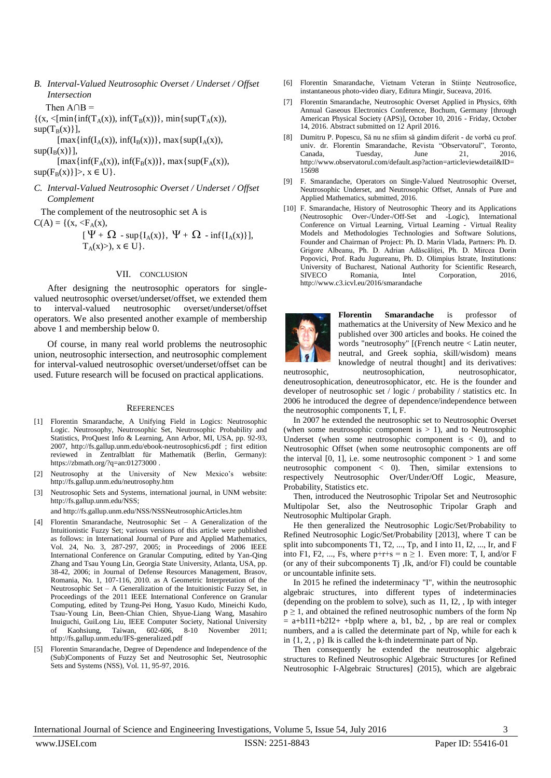*B. Interval-Valued Neutrosophic Overset / Underset / Offset Intersection*

Then  $A \cap B =$ 

 $\{(x, \leq [min\{inf(T_A(x)), inf(T_B(x))\}, min\{sup(T_A(x)),$  $sup(T_B(x))$ ],

 $[\max\{ \inf(I_A(x)), \inf(I_B(x)) \}, \max\{ \sup(I_A(x)),$  $sup(I_B(x)]$ ,

 $[\max\{ \inf(F_A(x)), \inf(F_B(x)) \}, \max\{ \sup(F_A(x)),$ 

 $\sup(F_B(x)] >, x \in U$ .

*C. Interval-Valued Neutrosophic Overset / Underset / Offset Complement*

The complement of the neutrosophic set A is

 $C(A) = \{(x, \langle F_A(x), \rangle\}$ 

 $\begin{bmatrix} 1 & 1 & 1 \\ 1 & 1 & 1 \end{bmatrix}$  $\Psi + \Omega$  - sup{I<sub>A</sub>(x)},  $\Psi + \Omega$  - inf{I<sub>A</sub>(x)}],  $T_A(x)$ ,  $x \in U$ .

# VII. CONCLUSION

After designing the neutrosophic operators for singlevalued neutrosophic overset/underset/offset, we extended them<br>to interval-valued neutrosophic overset/underset/offset to interval-valued neutrosophic overset/underset/offset operators. We also presented another example of membership above 1 and membership below 0.

Of course, in many real world problems the neutrosophic union, neutrosophic intersection, and neutrosophic complement for interval-valued neutrosophic overset/underset/offset can be used. Future research will be focused on practical applications.

#### **REFERENCES**

- [1] Florentin Smarandache, A Unifying Field in Logics: Neutrosophic Logic. Neutrosophy, Neutrosophic Set, Neutrosophic Probability and Statistics, ProQuest Info & Learning, Ann Arbor, MI, USA, pp. 92-93, 2007, http://fs.gallup.unm.edu/ebook-neutrosophics6.pdf ; first edition reviewed in Zentralblatt für Mathematik (Berlin, Germany): https://zbmath.org/?q=an:01273000 .
- [2] Neutrosophy at the University of New Mexico's website: http://fs.gallup.unm.edu/neutrosophy.htm
- [3] Neutrosophic Sets and Systems, international journal, in UNM website: http://fs.gallup.unm.edu/NSS;

and http://fs.gallup.unm.edu/NSS/NSSNeutrosophicArticles.htm

- [4] Florentin Smarandache, Neutrosophic Set A Generalization of the Intuitionistic Fuzzy Set; various versions of this article were published as follows: in International Journal of Pure and Applied Mathematics, Vol. 24, No. 3, 287-297, 2005; in Proceedings of 2006 IEEE International Conference on Granular Computing, edited by Yan-Qing Zhang and Tsau Young Lin, Georgia State University, Atlanta, USA, pp. 38-42, 2006; in Journal of Defense Resources Management, Brasov, Romania, No. 1, 107-116, 2010. as A Geometric Interpretation of the Neutrosophic Set – A Generalization of the Intuitionistic Fuzzy Set, in Proceedings of the 2011 IEEE International Conference on Granular Computing, edited by Tzung-Pei Hong, Yasuo Kudo, Mineichi Kudo, Tsau-Young Lin, Been-Chian Chien, Shyue-Liang Wang, Masahiro Inuiguchi, GuiLong Liu, IEEE Computer Society, National University<br>of Kaohsiung. Taiwan. 602-606. 8-10 November 2011: of Kaohsiung, Taiwan,  $602-606$ ,  $8-10$  November http://fs.gallup.unm.edu/IFS-generalized.pdf
- [5] Florentin Smarandache, Degree of Dependence and Independence of the (Sub)Components of Fuzzy Set and Neutrosophic Set, Neutrosophic Sets and Systems (NSS), Vol. 11, 95-97, 2016.
- [6] Florentin Smarandache, Vietnam Veteran în Stiințe Neutrosofice, instantaneous photo-video diary, Editura Mingir, Suceava, 2016.
- [7] Florentin Smarandache, Neutrosophic Overset Applied in Physics, 69th Annual Gaseous Electronics Conference, Bochum, Germany [through American Physical Society (APS)], October 10, 2016 - Friday, October 14, 2016. Abstract submitted on 12 April 2016.
- [8] Dumitru P. Popescu, Să nu ne sfiim să gândim diferit de vorbă cu prof. univ. dr. Florentin Smarandache, Revista "Observatorul", Canada, Tuesday, June 21, 2016, http://www.observatorul.com/default.asp?action=articleviewdetail&ID= 15698
- [9] F. Smarandache, Operators on Single-Valued Neutrosophic Overset, Neutrosophic Underset, and Neutrosophic Offset, Annals of Pure and Applied Mathematics, submitted, 2016.
- [10] F. Smarandache, History of Neutrosophic Theory and its Applications (Neutrosophic Over-/Under-/Off-Set and -Logic), International Conference on Virtual Learning, Virtual Learning - Virtual Reality Models and Methodologies Technologies and Software Solutions, Founder and Chairman of Project: Ph. D. Marin Vlada, Partners: Ph. D. Grigore Albeanu, Ph. D. Adrian Adăscăliței, Ph. D. Mircea Dorin Popovici, Prof. Radu Jugureanu, Ph. D. Olimpius Istrate, Institutions: University of Bucharest, National Authority for Scientific Research,<br>SIVECO Romania, Intel Corporation, 2016, [Intel Corporation,](http://www.intel.com/) 2016, http://www.c3.icvl.eu/2016/smarandache



**Florentin Smarandache** is professor of mathematics at the University of New Mexico and he published over 300 articles and books. He coined the words "neutrosophy" [(French neutre < Latin neuter, neutral, and Greek sophia, skill/wisdom) means knowledge of neutral thought] and its derivatives:

neutrosophic, neutrosophication, neutrosophicator, deneutrosophication, deneutrosophicator, etc. He is the founder and developer of neutrosophic set / logic / probability / statistics etc. In 2006 he introduced the degree of dependence/independence between the neutrosophic components T, I, F.

In 2007 he extended the neutrosophic set to Neutrosophic Overset (when some neutrosophic component is  $> 1$ ), and to Neutrosophic Underset (when some neutrosophic component is  $<$  0), and to Neutrosophic Offset (when some neutrosophic components are off the interval  $[0, 1]$ , i.e. some neutrosophic component  $> 1$  and some neutrosophic component < 0). Then, similar extensions to respectively Neutrosophic Over/Under/Off Logic, Measure, Probability, Statistics etc.

Then, introduced the Neutrosophic Tripolar Set and Neutrosophic Multipolar Set, also the Neutrosophic Tripolar Graph and Neutrosophic Multipolar Graph.

He then generalized the Neutrosophic Logic/Set/Probability to Refined Neutrosophic Logic/Set/Probability [2013], where T can be split into subcomponents T1, T2, ..., Tp, and I into I1, I2, ..., Ir, and F into F1, F2, ..., Fs, where  $p+r+s = n \ge 1$ . Even more: T, I, and/or F (or any of their subcomponents Tj ,Ik, and/or Fl) could be countable or uncountable infinite sets.

In 2015 he refined the indeterminacy "I", within the neutrosophic algebraic structures, into different types of indeterminacies (depending on the problem to solve), such as I1, I2, , Ip with integer  $p \ge 1$ , and obtained the refined neutrosophic numbers of the form Np  $=$  a+b1I1+b2I2+ +bpIp where a, b1, b2, , bp are real or complex numbers, and a is called the determinate part of Np, while for each k in {1, 2, , p} Ik is called the k-th indeterminate part of Np.

Then consequently he extended the neutrosophic algebraic structures to Refined Neutrosophic Algebraic Structures [or Refined Neutrosophic I-Algebraic Structures] (2015), which are algebraic

International Journal of Science and Engineering Investigations, Volume 5, Issue 54, July 2016 3